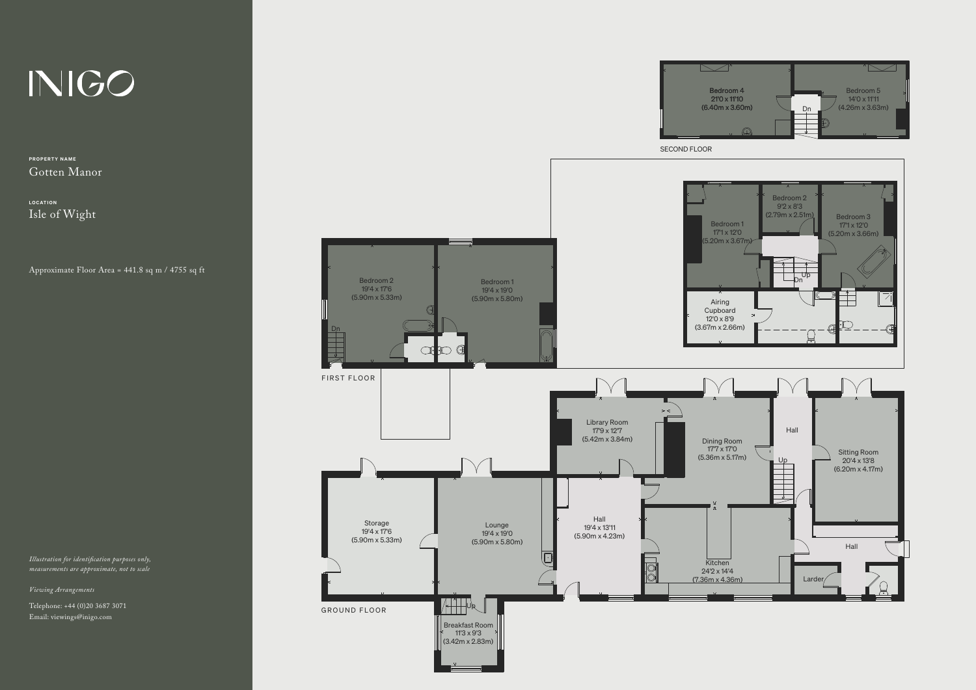## INIGO

PROPERTY NAME Gotten Manor

LOCATION Isle of Wight

Approximate Floor Area = 441.8 sq m / 4755 sq ft

*Illustration for identication purposes only, measurements are approximate, not to scale*

*Viewing Arrangements*

Telephone: +44 (0)20 3687 3071 Email: viewings@inigo.com



 $\overline{\phantom{a}}$ 

 $\overline{\phantom{a}}$